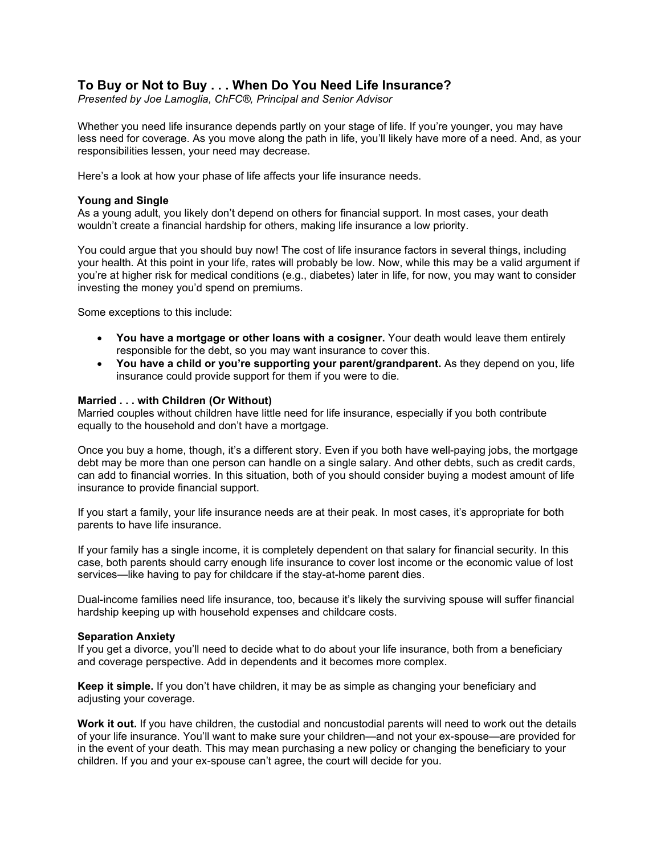# **To Buy or Not to Buy . . . When Do You Need Life Insurance?**

*Presented by Joe Lamoglia, ChFC®, Principal and Senior Advisor*

Whether you need life insurance depends partly on your stage of life. If you're younger, you may have less need for coverage. As you move along the path in life, you'll likely have more of a need. And, as your responsibilities lessen, your need may decrease.

Here's a look at how your phase of life affects your life insurance needs.

## **Young and Single**

As a young adult, you likely don't depend on others for financial support. In most cases, your death wouldn't create a financial hardship for others, making life insurance a low priority.

You could argue that you should buy now! The cost of life insurance factors in several things, including your health. At this point in your life, rates will probably be low. Now, while this may be a valid argument if you're at higher risk for medical conditions (e.g., diabetes) later in life, for now, you may want to consider investing the money you'd spend on premiums.

Some exceptions to this include:

- **You have a mortgage or other loans with a cosigner.** Your death would leave them entirely responsible for the debt, so you may want insurance to cover this.
- **You have a child or you're supporting your parent/grandparent.** As they depend on you, life insurance could provide support for them if you were to die.

## **Married . . . with Children (Or Without)**

Married couples without children have little need for life insurance, especially if you both contribute equally to the household and don't have a mortgage.

Once you buy a home, though, it's a different story. Even if you both have well-paying jobs, the mortgage debt may be more than one person can handle on a single salary. And other debts, such as credit cards, can add to financial worries. In this situation, both of you should consider buying a modest amount of life insurance to provide financial support.

If you start a family, your life insurance needs are at their peak. In most cases, it's appropriate for both parents to have life insurance.

If your family has a single income, it is completely dependent on that salary for financial security. In this case, both parents should carry enough life insurance to cover lost income or the economic value of lost services—like having to pay for childcare if the stay-at-home parent dies.

Dual-income families need life insurance, too, because it's likely the surviving spouse will suffer financial hardship keeping up with household expenses and childcare costs.

#### **Separation Anxiety**

If you get a divorce, you'll need to decide what to do about your life insurance, both from a beneficiary and coverage perspective. Add in dependents and it becomes more complex.

**Keep it simple.** If you don't have children, it may be as simple as changing your beneficiary and adjusting your coverage.

**Work it out.** If you have children, the custodial and noncustodial parents will need to work out the details of your life insurance. You'll want to make sure your children—and not your ex-spouse—are provided for in the event of your death. This may mean purchasing a new policy or changing the beneficiary to your children. If you and your ex-spouse can't agree, the court will decide for you.